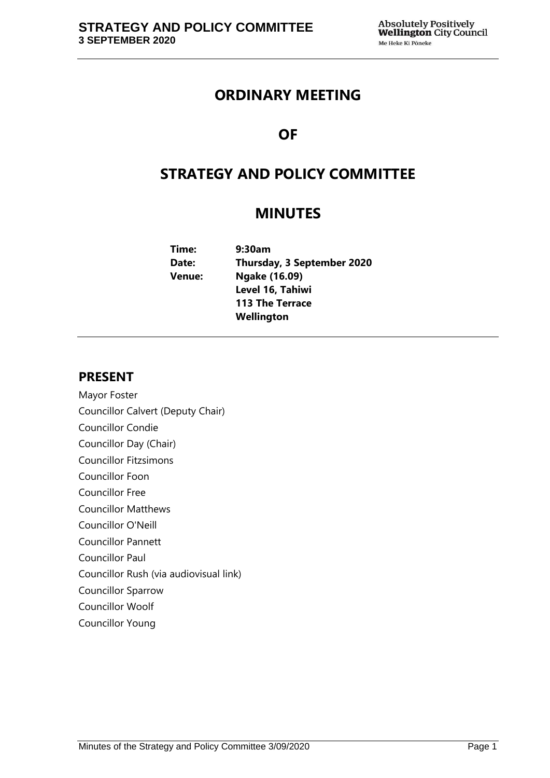## **ORDINARY MEETING**

# **OF**

# **STRATEGY AND POLICY COMMITTEE**

## **MINUTES**

| Time:  | 9:30am                     |
|--------|----------------------------|
| Date:  | Thursday, 3 September 2020 |
| Venue: | Ngake (16.09)              |
|        | Level 16, Tahiwi           |
|        | <b>113 The Terrace</b>     |
|        | Wellington                 |

## **PRESENT**

- Mayor Foster Councillor Calvert (Deputy Chair)
- Councillor Condie
- Councillor Day (Chair)
- Councillor Fitzsimons
- Councillor Foon
- Councillor Free
- Councillor Matthews
- Councillor O'Neill
- Councillor Pannett
- Councillor Paul
- Councillor Rush (via audiovisual link)
- Councillor Sparrow
- Councillor Woolf
- Councillor Young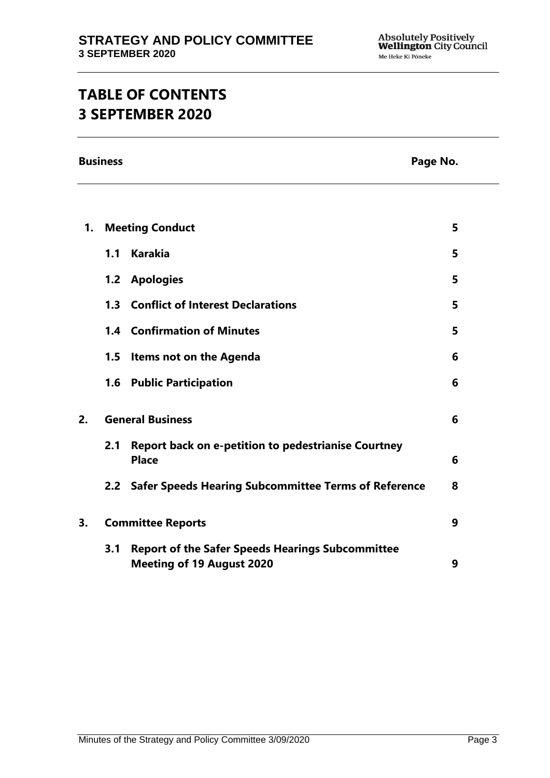# **TABLE OF CONTENTS 3 SEPTEMBER 2020**

**Business Page No.**

| 1. | <b>Meeting Conduct</b>   |                                                                                             | 5 |
|----|--------------------------|---------------------------------------------------------------------------------------------|---|
|    |                          | 1.1 Karakia                                                                                 | 5 |
|    |                          | 1.2 Apologies                                                                               | 5 |
|    |                          | 1.3 Conflict of Interest Declarations                                                       | 5 |
|    |                          | <b>1.4 Confirmation of Minutes</b>                                                          | 5 |
|    | 1.5                      | <b>Items not on the Agenda</b>                                                              | 6 |
|    |                          | <b>1.6 Public Participation</b>                                                             | 6 |
| 2. | <b>General Business</b>  |                                                                                             | 6 |
|    | 2.1                      | <b>Report back on e-petition to pedestrianise Courtney</b><br><b>Place</b>                  | 6 |
|    |                          | 2.2 Safer Speeds Hearing Subcommittee Terms of Reference                                    | 8 |
| 3. | <b>Committee Reports</b> |                                                                                             | 9 |
|    | 3.1                      | <b>Report of the Safer Speeds Hearings Subcommittee</b><br><b>Meeting of 19 August 2020</b> | 9 |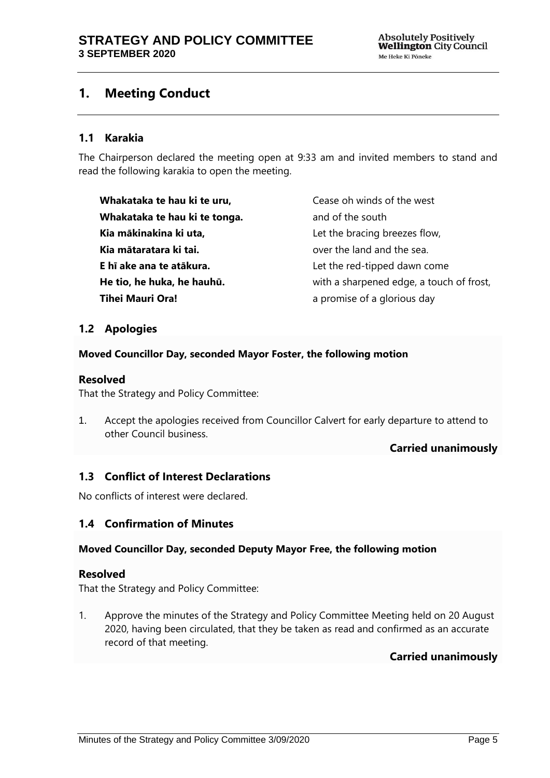## <span id="page-4-0"></span>**1. Meeting Conduct**

### **1.1 Karakia**

The Chairperson declared the meeting open at 9:33 am and invited members to stand and read the following karakia to open the meeting.

**Whakataka te hau ki te uru, Whakataka te hau ki te tonga. Kia mākinakina ki uta, Kia mātaratara ki tai. E hī ake ana te atākura. He tio, he huka, he hauhū. Tihei Mauri Ora!**

Cease oh winds of the west and of the south Let the bracing breezes flow, over the land and the sea. Let the red-tipped dawn come with a sharpened edge, a touch of frost, a promise of a glorious day

### <span id="page-4-1"></span>**1.2 Apologies**

#### **Moved Councillor Day, seconded Mayor Foster, the following motion**

#### **Resolved**

That the Strategy and Policy Committee:

1. Accept the apologies received from Councillor Calvert for early departure to attend to other Council business.

#### **Carried unanimously**

## <span id="page-4-2"></span>**1.3 Conflict of Interest Declarations**

No conflicts of interest were declared.

#### <span id="page-4-3"></span>**1.4 Confirmation of Minutes**

#### **Moved Councillor Day, seconded Deputy Mayor Free, the following motion**

#### **Resolved**

That the Strategy and Policy Committee:

1. Approve the minutes of the Strategy and Policy Committee Meeting held on 20 August 2020, having been circulated, that they be taken as read and confirmed as an accurate record of that meeting.

## **Carried unanimously**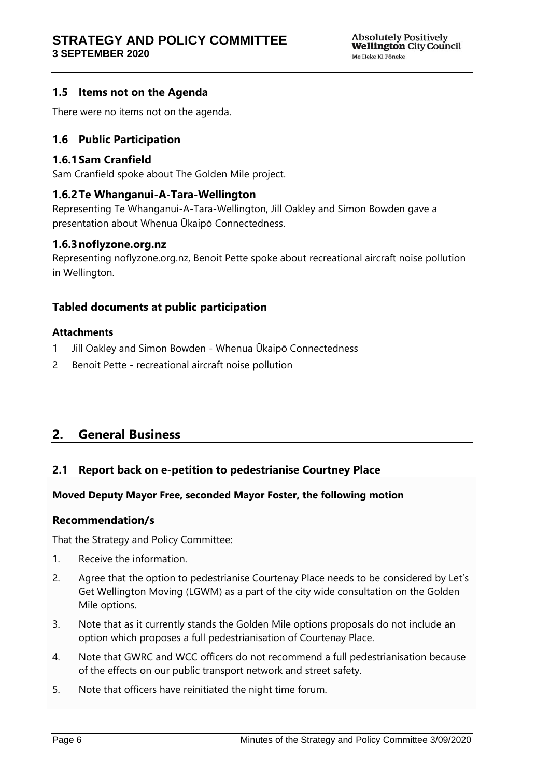## <span id="page-5-0"></span>**1.5 Items not on the Agenda**

There were no items not on the agenda.

## <span id="page-5-1"></span>**1.6 Public Participation**

#### **1.6.1Sam Cranfield**

Sam Cranfield spoke about The Golden Mile project.

#### **1.6.2Te Whanganui-A-Tara-Wellington**

Representing Te Whanganui-A-Tara-Wellington, Jill Oakley and Simon Bowden gave a presentation about Whenua Ūkaipō Connectedness.

#### **1.6.3noflyzone.org.nz**

Representing noflyzone.org.nz, Benoit Pette spoke about recreational aircraft noise pollution in Wellington.

### **Tabled documents at public participation**

#### **Attachments**

- 1 Jill Oakley and Simon Bowden Whenua Ūkaipō Connectedness
- 2 Benoit Pette recreational aircraft noise pollution

## <span id="page-5-2"></span>**2. General Business**

## <span id="page-5-3"></span>**2.1 Report back on e-petition to pedestrianise Courtney Place**

#### **Moved Deputy Mayor Free, seconded Mayor Foster, the following motion**

#### **Recommendation/s**

That the Strategy and Policy Committee:

- 1. Receive the information.
- 2. Agree that the option to pedestrianise Courtenay Place needs to be considered by Let's Get Wellington Moving (LGWM) as a part of the city wide consultation on the Golden Mile options.
- 3. Note that as it currently stands the Golden Mile options proposals do not include an option which proposes a full pedestrianisation of Courtenay Place.
- 4. Note that GWRC and WCC officers do not recommend a full pedestrianisation because of the effects on our public transport network and street safety.
- 5. Note that officers have reinitiated the night time forum.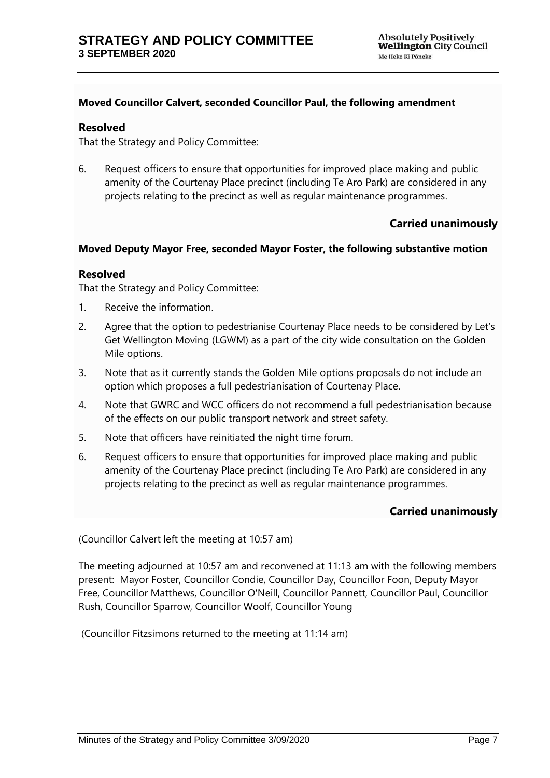#### **Moved Councillor Calvert, seconded Councillor Paul, the following amendment**

#### **Resolved**

That the Strategy and Policy Committee:

6. Request officers to ensure that opportunities for improved place making and public amenity of the Courtenay Place precinct (including Te Aro Park) are considered in any projects relating to the precinct as well as regular maintenance programmes.

### **Carried unanimously**

#### **Moved Deputy Mayor Free, seconded Mayor Foster, the following substantive motion**

#### **Resolved**

That the Strategy and Policy Committee:

- 1. Receive the information.
- 2. Agree that the option to pedestrianise Courtenay Place needs to be considered by Let's Get Wellington Moving (LGWM) as a part of the city wide consultation on the Golden Mile options.
- 3. Note that as it currently stands the Golden Mile options proposals do not include an option which proposes a full pedestrianisation of Courtenay Place.
- 4. Note that GWRC and WCC officers do not recommend a full pedestrianisation because of the effects on our public transport network and street safety.
- 5. Note that officers have reinitiated the night time forum.
- 6. Request officers to ensure that opportunities for improved place making and public amenity of the Courtenay Place precinct (including Te Aro Park) are considered in any projects relating to the precinct as well as regular maintenance programmes.

#### **Carried unanimously**

(Councillor Calvert left the meeting at 10:57 am)

The meeting adjourned at 10:57 am and reconvened at 11:13 am with the following members present: Mayor Foster, Councillor Condie, Councillor Day, Councillor Foon, Deputy Mayor Free, Councillor Matthews, Councillor O'Neill, Councillor Pannett, Councillor Paul, Councillor Rush, Councillor Sparrow, Councillor Woolf, Councillor Young

(Councillor Fitzsimons returned to the meeting at 11:14 am)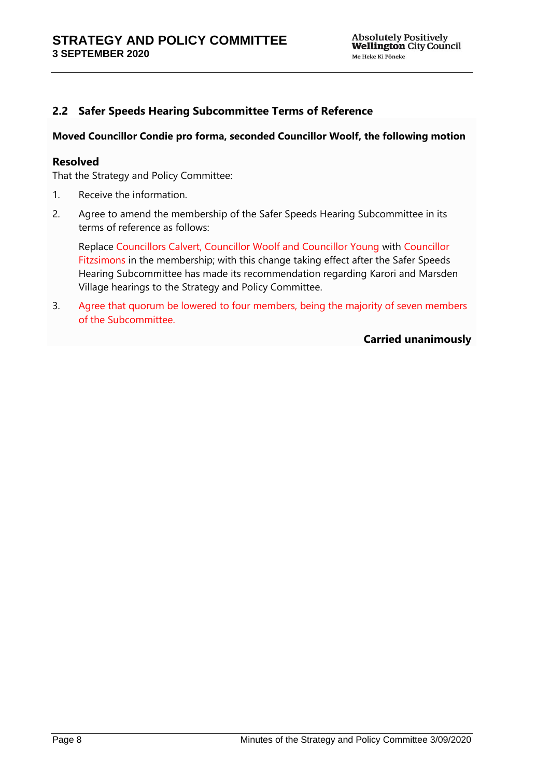## <span id="page-7-0"></span>**2.2 Safer Speeds Hearing Subcommittee Terms of Reference**

#### **Moved Councillor Condie pro forma, seconded Councillor Woolf, the following motion**

#### **Resolved**

That the Strategy and Policy Committee:

- 1. Receive the information.
- 2. Agree to amend the membership of the Safer Speeds Hearing Subcommittee in its terms of reference as follows:

Replace Councillors Calvert, Councillor Woolf and Councillor Young with Councillor Fitzsimons in the membership; with this change taking effect after the Safer Speeds Hearing Subcommittee has made its recommendation regarding Karori and Marsden Village hearings to the Strategy and Policy Committee.

3. Agree that quorum be lowered to four members, being the majority of seven members of the Subcommittee.

**Carried unanimously**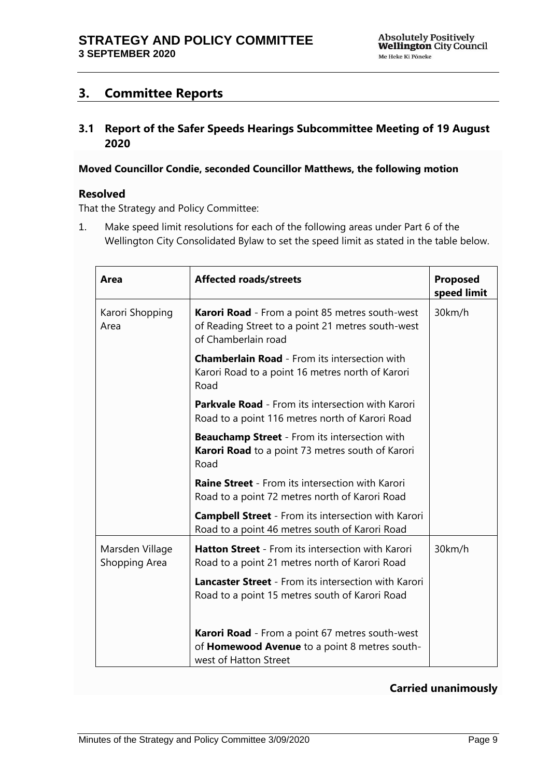## <span id="page-8-0"></span>**3. Committee Reports**

## <span id="page-8-1"></span>**3.1 Report of the Safer Speeds Hearings Subcommittee Meeting of 19 August 2020**

#### **Moved Councillor Condie, seconded Councillor Matthews, the following motion**

#### **Resolved**

That the Strategy and Policy Committee:

1. Make speed limit resolutions for each of the following areas under Part 6 of the Wellington City Consolidated Bylaw to set the speed limit as stated in the table below.

| Area                             | <b>Affected roads/streets</b>                                                                                                      | Proposed<br>speed limit |
|----------------------------------|------------------------------------------------------------------------------------------------------------------------------------|-------------------------|
| Karori Shopping<br>Area          | <b>Karori Road</b> - From a point 85 metres south-west<br>of Reading Street to a point 21 metres south-west<br>of Chamberlain road | 30km/h                  |
|                                  | <b>Chamberlain Road</b> - From its intersection with<br>Karori Road to a point 16 metres north of Karori<br>Road                   |                         |
|                                  | <b>Parkvale Road</b> - From its intersection with Karori<br>Road to a point 116 metres north of Karori Road                        |                         |
|                                  | <b>Beauchamp Street</b> - From its intersection with<br><b>Karori Road</b> to a point 73 metres south of Karori<br>Road            |                         |
|                                  | <b>Raine Street</b> - From its intersection with Karori<br>Road to a point 72 metres north of Karori Road                          |                         |
|                                  | <b>Campbell Street</b> - From its intersection with Karori<br>Road to a point 46 metres south of Karori Road                       |                         |
| Marsden Village<br>Shopping Area | <b>Hatton Street</b> - From its intersection with Karori<br>Road to a point 21 metres north of Karori Road                         | 30km/h                  |
|                                  | <b>Lancaster Street</b> - From its intersection with Karori<br>Road to a point 15 metres south of Karori Road                      |                         |
|                                  | Karori Road - From a point 67 metres south-west<br>of Homewood Avenue to a point 8 metres south-<br>west of Hatton Street          |                         |

#### **Carried unanimously**